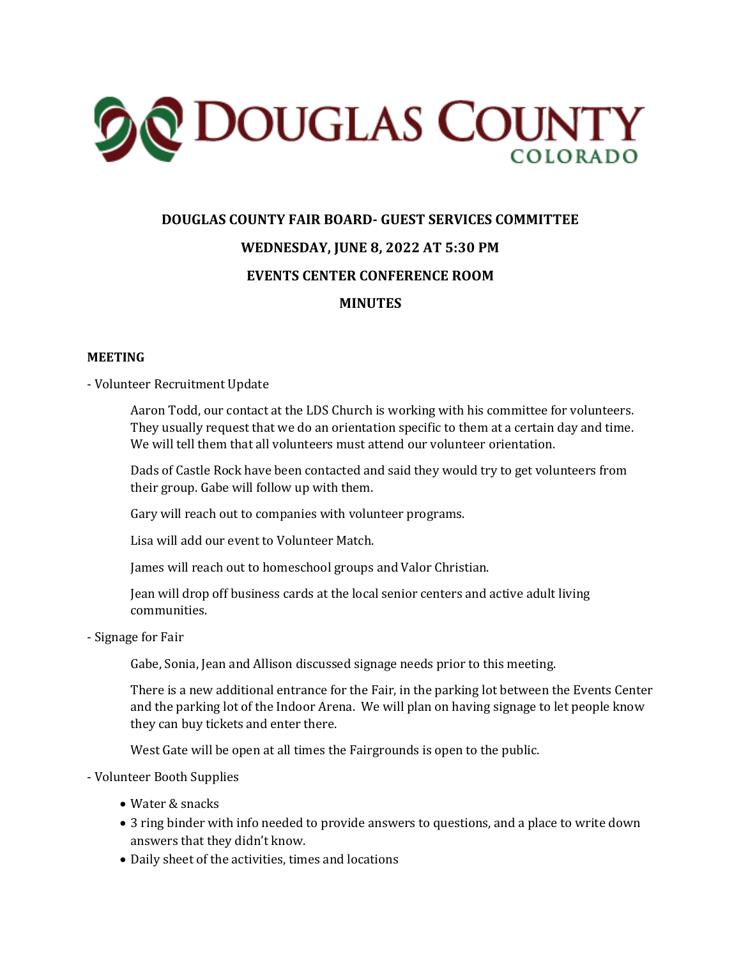

## **DOUGLAS COUNTY FAIR BOARD- GUEST SERVICES COMMITTEE WEDNESDAY, JUNE 8, 2022 AT 5:30 PM EVENTS CENTER CONFERENCE ROOM MINUTES**

## **MEETING**

- Volunteer Recruitment Update

Aaron Todd, our contact at the LDS Church is working with his committee for volunteers. They usually request that we do an orientation specific to them at a certain day and time. We will tell them that all volunteers must attend our volunteer orientation.

Dads of Castle Rock have been contacted and said they would try to get volunteers from their group. Gabe will follow up with them.

Gary will reach out to companies with volunteer programs.

Lisa will add our event to Volunteer Match.

James will reach out to homeschool groups and Valor Christian.

Jean will drop off business cards at the local senior centers and active adult living communities.

- Signage for Fair

Gabe, Sonia, Jean and Allison discussed signage needs prior to this meeting.

There is a new additional entrance for the Fair, in the parking lot between the Events Center and the parking lot of the Indoor Arena. We will plan on having signage to let people know they can buy tickets and enter there.

West Gate will be open at all times the Fairgrounds is open to the public.

- Volunteer Booth Supplies

- Water & snacks
- 3 ring binder with info needed to provide answers to questions, and a place to write down answers that they didn't know.
- Daily sheet of the activities, times and locations